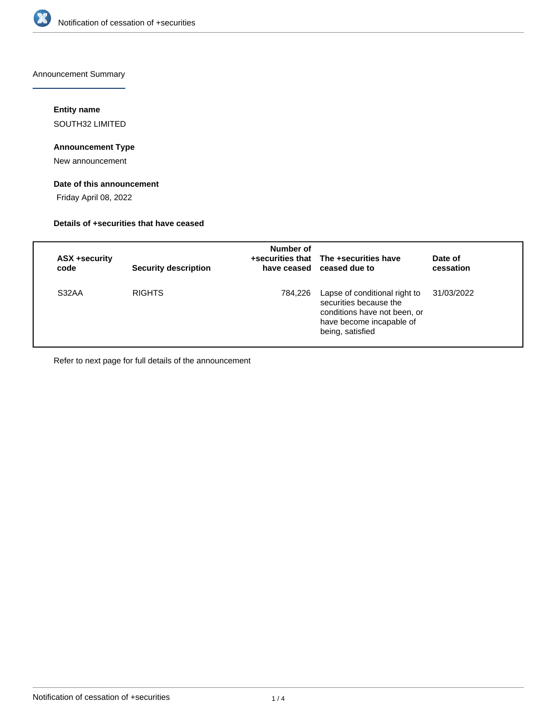

Announcement Summary

# **Entity name**

SOUTH32 LIMITED

# **Announcement Type**

New announcement

# **Date of this announcement**

Friday April 08, 2022

## **Details of +securities that have ceased**

| ASX +security<br>code | <b>Security description</b> | Number of | +securities that The +securities have<br>have ceased ceased due to                                                                      | Date of<br>cessation |
|-----------------------|-----------------------------|-----------|-----------------------------------------------------------------------------------------------------------------------------------------|----------------------|
| S32AA                 | <b>RIGHTS</b>               | 784,226   | Lapse of conditional right to<br>securities because the<br>conditions have not been, or<br>have become incapable of<br>being, satisfied | 31/03/2022           |

Refer to next page for full details of the announcement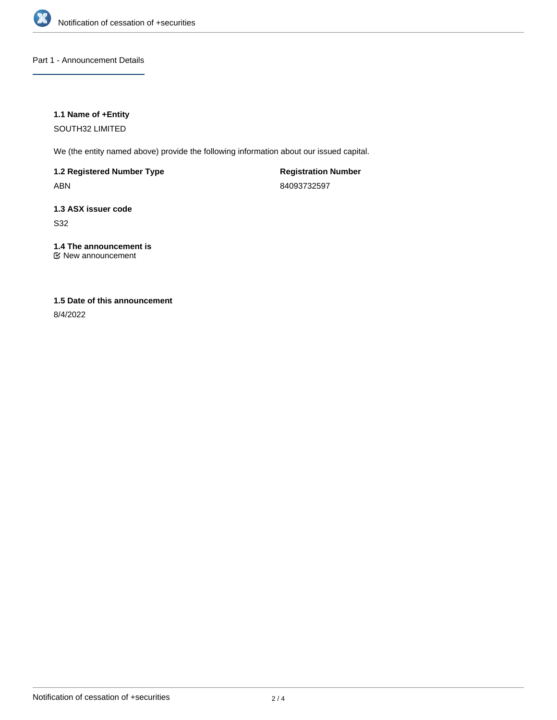

Part 1 - Announcement Details

## **1.1 Name of +Entity**

SOUTH32 LIMITED

We (the entity named above) provide the following information about our issued capital.

**1.2 Registered Number Type** ABN

**Registration Number** 84093732597

**1.3 ASX issuer code**

S32

# **1.4 The announcement is**

New announcement

# **1.5 Date of this announcement**

8/4/2022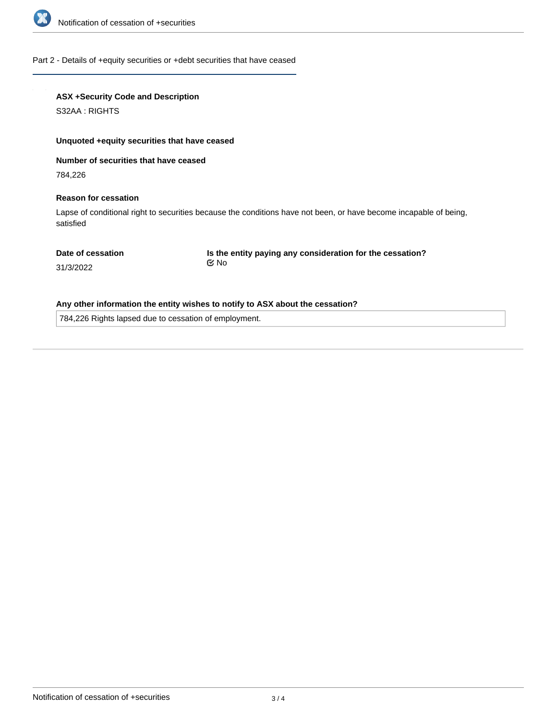

#### Part 2 - Details of +equity securities or +debt securities that have ceased

## **ASX +Security Code and Description**

S32AA : RIGHTS

#### **Unquoted +equity securities that have ceased**

**Number of securities that have ceased**

784,226

#### **Reason for cessation**

Lapse of conditional right to securities because the conditions have not been, or have become incapable of being, satisfied

#### **Date of cessation**

**Is the entity paying any consideration for the cessation?** No

31/3/2022

## **Any other information the entity wishes to notify to ASX about the cessation?**

784,226 Rights lapsed due to cessation of employment.